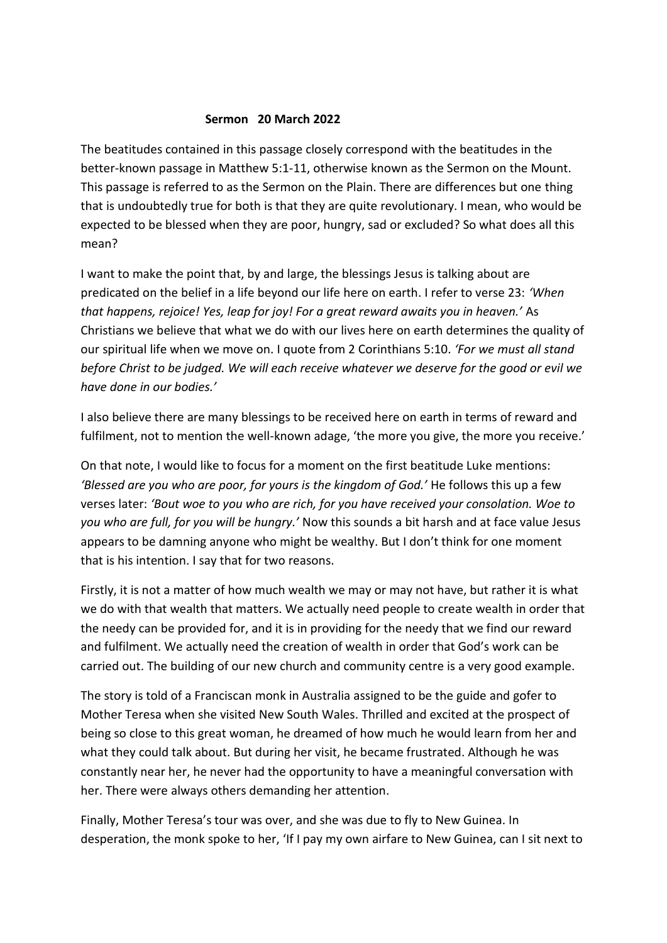## **Sermon 20 March 2022**

The beatitudes contained in this passage closely correspond with the beatitudes in the better-known passage in Matthew 5:1-11, otherwise known as the Sermon on the Mount. This passage is referred to as the Sermon on the Plain. There are differences but one thing that is undoubtedly true for both is that they are quite revolutionary. I mean, who would be expected to be blessed when they are poor, hungry, sad or excluded? So what does all this mean?

I want to make the point that, by and large, the blessings Jesus is talking about are predicated on the belief in a life beyond our life here on earth. I refer to verse 23: *'When that happens, rejoice! Yes, leap for joy! For a great reward awaits you in heaven.'* As Christians we believe that what we do with our lives here on earth determines the quality of our spiritual life when we move on. I quote from 2 Corinthians 5:10. *'For we must all stand before Christ to be judged. We will each receive whatever we deserve for the good or evil we have done in our bodies.'*

I also believe there are many blessings to be received here on earth in terms of reward and fulfilment, not to mention the well-known adage, 'the more you give, the more you receive.'

On that note, I would like to focus for a moment on the first beatitude Luke mentions: *'Blessed are you who are poor, for yours is the kingdom of God.'* He follows this up a few verses later: *'Bout woe to you who are rich, for you have received your consolation. Woe to you who are full, for you will be hungry.'* Now this sounds a bit harsh and at face value Jesus appears to be damning anyone who might be wealthy. But I don't think for one moment that is his intention. I say that for two reasons.

Firstly, it is not a matter of how much wealth we may or may not have, but rather it is what we do with that wealth that matters. We actually need people to create wealth in order that the needy can be provided for, and it is in providing for the needy that we find our reward and fulfilment. We actually need the creation of wealth in order that God's work can be carried out. The building of our new church and community centre is a very good example.

The story is told of a Franciscan monk in Australia assigned to be the guide and gofer to Mother Teresa when she visited New South Wales. Thrilled and excited at the prospect of being so close to this great woman, he dreamed of how much he would learn from her and what they could talk about. But during her visit, he became frustrated. Although he was constantly near her, he never had the opportunity to have a meaningful conversation with her. There were always others demanding her attention.

Finally, Mother Teresa's tour was over, and she was due to fly to New Guinea. In desperation, the monk spoke to her, 'If I pay my own airfare to New Guinea, can I sit next to